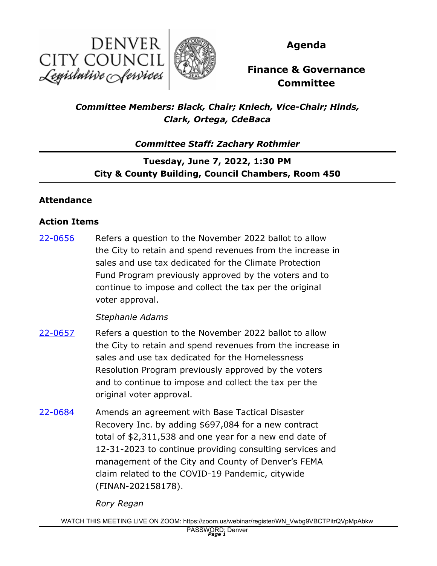



**Agenda**

# **Finance & Governance Committee**

*Committee Members: Black, Chair; Kniech, Vice-Chair; Hinds, Clark, Ortega, CdeBaca*

*Committee Staff: Zachary Rothmier*

**Tuesday, June 7, 2022, 1:30 PM City & County Building, Council Chambers, Room 450**

## **Attendance**

### **Action Items**

Refers a question to the November 2022 ballot to allow the City to retain and spend revenues from the increase in sales and use tax dedicated for the Climate Protection Fund Program previously approved by the voters and to continue to impose and collect the tax per the original voter approval. [22-0656](http://denver.legistar.com/gateway.aspx?m=l&id=/matter.aspx?key=21723)

### *Stephanie Adams*

- Refers a question to the November 2022 ballot to allow the City to retain and spend revenues from the increase in sales and use tax dedicated for the Homelessness Resolution Program previously approved by the voters and to continue to impose and collect the tax per the original voter approval. [22-0657](http://denver.legistar.com/gateway.aspx?m=l&id=/matter.aspx?key=21724)
- Amends an agreement with Base Tactical Disaster Recovery Inc. by adding \$697,084 for a new contract total of \$2,311,538 and one year for a new end date of 12-31-2023 to continue providing consulting services and management of the City and County of Denver's FEMA claim related to the COVID-19 Pandemic, citywide (FINAN-202158178). [22-0684](http://denver.legistar.com/gateway.aspx?m=l&id=/matter.aspx?key=21751)

*Rory Regan*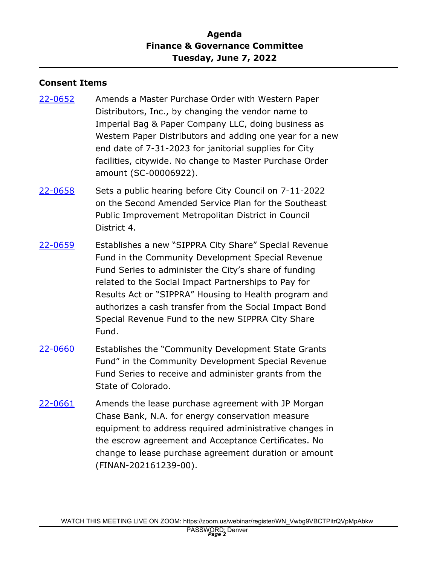## **Agenda Finance & Governance Committee Tuesday, June 7, 2022**

#### **Consent Items**

- Amends a Master Purchase Order with Western Paper Distributors, Inc., by changing the vendor name to Imperial Bag & Paper Company LLC, doing business as Western Paper Distributors and adding one year for a new end date of 7-31-2023 for janitorial supplies for City facilities, citywide. No change to Master Purchase Order amount (SC-00006922). [22-0652](http://denver.legistar.com/gateway.aspx?m=l&id=/matter.aspx?key=21719)
- Sets a public hearing before City Council on 7-11-2022 on the Second Amended Service Plan for the Southeast Public Improvement Metropolitan District in Council District 4. [22-0658](http://denver.legistar.com/gateway.aspx?m=l&id=/matter.aspx?key=21725)
- Establishes a new "SIPPRA City Share" Special Revenue Fund in the Community Development Special Revenue Fund Series to administer the City's share of funding related to the Social Impact Partnerships to Pay for Results Act or "SIPPRA" Housing to Health program and authorizes a cash transfer from the Social Impact Bond Special Revenue Fund to the new SIPPRA City Share Fund. [22-0659](http://denver.legistar.com/gateway.aspx?m=l&id=/matter.aspx?key=21726)
- Establishes the "Community Development State Grants Fund" in the Community Development Special Revenue Fund Series to receive and administer grants from the State of Colorado. [22-0660](http://denver.legistar.com/gateway.aspx?m=l&id=/matter.aspx?key=21727)
- Amends the lease purchase agreement with JP Morgan Chase Bank, N.A. for energy conservation measure equipment to address required administrative changes in the escrow agreement and Acceptance Certificates. No change to lease purchase agreement duration or amount (FINAN-202161239-00). [22-0661](http://denver.legistar.com/gateway.aspx?m=l&id=/matter.aspx?key=21728)